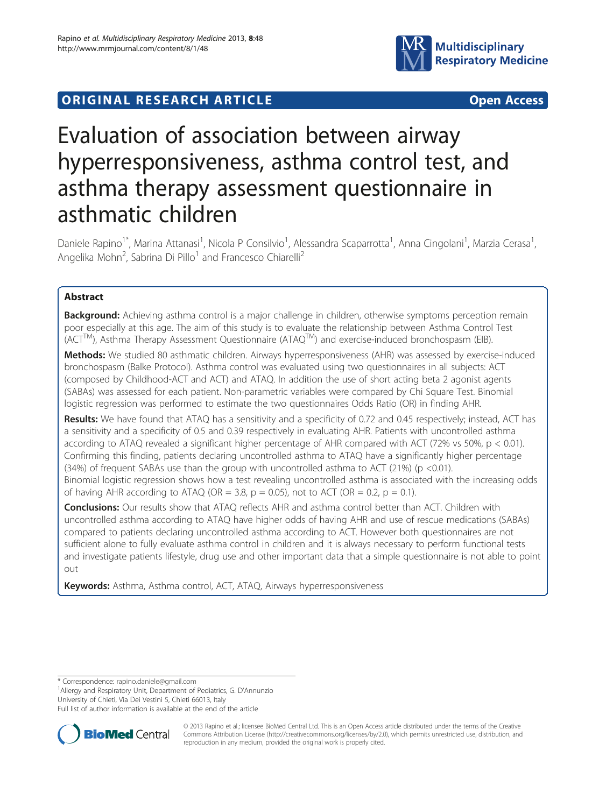

# ORIGINAL RESEARCH ARTICLE **External Solution Community** Open Access

# Evaluation of association between airway hyperresponsiveness, asthma control test, and asthma therapy assessment questionnaire in asthmatic children

Daniele Rapino<sup>1\*</sup>, Marina Attanasi<sup>1</sup>, Nicola P Consilvio<sup>1</sup>, Alessandra Scaparrotta<sup>1</sup>, Anna Cingolani<sup>1</sup>, Marzia Cerasa<sup>1</sup> , Angelika Mohn<sup>2</sup>, Sabrina Di Pillo<sup>1</sup> and Francesco Chiarelli<sup>2</sup>

# Abstract

Background: Achieving asthma control is a major challenge in children, otherwise symptoms perception remain poor especially at this age. The aim of this study is to evaluate the relationship between Asthma Control Test  $(ACT^{TM})$ , Asthma Therapy Assessment Questionnaire (ATAQ<sup>TM</sup>) and exercise-induced bronchospasm (EIB).

Methods: We studied 80 asthmatic children. Airways hyperresponsiveness (AHR) was assessed by exercise-induced bronchospasm (Balke Protocol). Asthma control was evaluated using two questionnaires in all subjects: ACT (composed by Childhood-ACT and ACT) and ATAQ. In addition the use of short acting beta 2 agonist agents (SABAs) was assessed for each patient. Non-parametric variables were compared by Chi Square Test. Binomial logistic regression was performed to estimate the two questionnaires Odds Ratio (OR) in finding AHR.

Results: We have found that ATAQ has a sensitivity and a specificity of 0.72 and 0.45 respectively; instead, ACT has a sensitivity and a specificity of 0.5 and 0.39 respectively in evaluating AHR. Patients with uncontrolled asthma according to ATAQ revealed a significant higher percentage of AHR compared with ACT (72% vs 50%, p < 0.01). Confirming this finding, patients declaring uncontrolled asthma to ATAQ have a significantly higher percentage  $(34%)$  of frequent SABAs use than the group with uncontrolled asthma to ACT  $(21%)$  (p <0.01). Binomial logistic regression shows how a test revealing uncontrolled asthma is associated with the increasing odds of having AHR according to ATAQ (OR = 3.8,  $p = 0.05$ ), not to ACT (OR = 0.2,  $p = 0.1$ ).

Conclusions: Our results show that ATAQ reflects AHR and asthma control better than ACT. Children with uncontrolled asthma according to ATAQ have higher odds of having AHR and use of rescue medications (SABAs) compared to patients declaring uncontrolled asthma according to ACT. However both questionnaires are not sufficient alone to fully evaluate asthma control in children and it is always necessary to perform functional tests and investigate patients lifestyle, drug use and other important data that a simple questionnaire is not able to point out

Keywords: Asthma, Asthma control, ACT, ATAQ, Airways hyperresponsiveness

<sup>1</sup> Allergy and Respiratory Unit, Department of Pediatrics, G. D'Annunzio

University of Chieti, Via Dei Vestini 5, Chieti 66013, Italy

Full list of author information is available at the end of the article



© 2013 Rapino et al.; licensee BioMed Central Ltd. This is an Open Access article distributed under the terms of the Creative Commons Attribution License [\(http://creativecommons.org/licenses/by/2.0\)](http://creativecommons.org/licenses/by/2.0), which permits unrestricted use, distribution, and reproduction in any medium, provided the original work is properly cited.

<sup>\*</sup> Correspondence: [rapino.daniele@gmail.com](mailto:rapino.daniele@gmail.com) <sup>1</sup>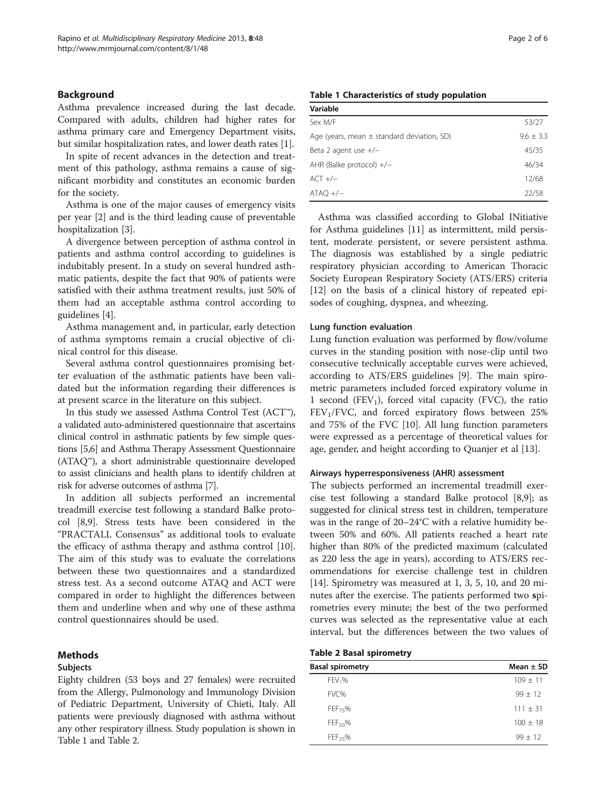### Background

Asthma prevalence increased during the last decade. Compared with adults, children had higher rates for asthma primary care and Emergency Department visits, but similar hospitalization rates, and lower death rates [\[1\]](#page-4-0).

In spite of recent advances in the detection and treatment of this pathology, asthma remains a cause of significant morbidity and constitutes an economic burden for the society.

Asthma is one of the major causes of emergency visits per year [\[2](#page-4-0)] and is the third leading cause of preventable hospitalization [[3](#page-4-0)].

A divergence between perception of asthma control in patients and asthma control according to guidelines is indubitably present. In a study on several hundred asthmatic patients, despite the fact that 90% of patients were satisfied with their asthma treatment results, just 50% of them had an acceptable asthma control according to guidelines [[4\]](#page-4-0).

Asthma management and, in particular, early detection of asthma symptoms remain a crucial objective of clinical control for this disease.

Several asthma control questionnaires promising better evaluation of the asthmatic patients have been validated but the information regarding their differences is at present scarce in the literature on this subject.

In this study we assessed Asthma Control Test (ACT™), a validated auto-administered questionnaire that ascertains clinical control in asthmatic patients by few simple questions [[5,6](#page-4-0)] and Asthma Therapy Assessment Questionnaire (ATAQ™), a short administrable questionnaire developed to assist clinicians and health plans to identify children at risk for adverse outcomes of asthma [[7\]](#page-4-0).

In addition all subjects performed an incremental treadmill exercise test following a standard Balke protocol [[8,9\]](#page-4-0). Stress tests have been considered in the "PRACTALL Consensus" as additional tools to evaluate the efficacy of asthma therapy and asthma control [\[10](#page-4-0)]. The aim of this study was to evaluate the correlations between these two questionnaires and a standardized stress test. As a second outcome ATAQ and ACT were compared in order to highlight the differences between them and underline when and why one of these asthma control questionnaires should be used.

### Methods

### **Subjects**

Eighty children (53 boys and 27 females) were recruited from the Allergy, Pulmonology and Immunology Division of Pediatric Department, University of Chieti, Italy. All patients were previously diagnosed with asthma without any other respiratory illness. Study population is shown in Table 1 and Table 2.

### Table 1 Characteristics of study population

| Sex M/F                                        | 53/27         |
|------------------------------------------------|---------------|
| Age (years, mean $\pm$ standard deviation, SD) | $9.6 \pm 3.3$ |
| Beta 2 agent use $+/-$                         | 45/35         |
| AHR (Balke protocol) $+/-$                     | 46/34         |
| $ACT +/-$                                      | 12/68         |
| $ATAO +/-$                                     | 22/58         |

Asthma was classified according to Global INitiative for Asthma guidelines [\[11](#page-4-0)] as intermittent, mild persistent, moderate persistent, or severe persistent asthma. The diagnosis was established by a single pediatric respiratory physician according to American Thoracic Society European Respiratory Society (ATS/ERS) criteria [[12\]](#page-4-0) on the basis of a clinical history of repeated episodes of coughing, dyspnea, and wheezing.

### Lung function evaluation

Lung function evaluation was performed by flow/volume curves in the standing position with nose-clip until two consecutive technically acceptable curves were achieved, according to ATS/ERS guidelines [[9\]](#page-4-0). The main spirometric parameters included forced expiratory volume in 1 second  $(FEV_1)$ , forced vital capacity (FVC), the ratio  $FEV<sub>1</sub>/FVC$ , and forced expiratory flows between 25% and 75% of the FVC [\[10](#page-4-0)]. All lung function parameters were expressed as a percentage of theoretical values for age, gender, and height according to Quanjer et al [[13\]](#page-4-0).

### Airways hyperresponsiveness (AHR) assessment

The subjects performed an incremental treadmill exercise test following a standard Balke protocol [[8,9\]](#page-4-0); as suggested for clinical stress test in children, temperature was in the range of 20–24°C with a relative humidity between 50% and 60%. All patients reached a heart rate higher than 80% of the predicted maximum (calculated as 220 less the age in years), according to ATS/ERS recommendations for exercise challenge test in children [[14\]](#page-4-0). Spirometry was measured at 1, 3, 5, 10, and 20 minutes after the exercise. The patients performed two spirometries every minute; the best of the two performed curves was selected as the representative value at each interval, but the differences between the two values of

### Table 2 Basal spirometry

| <b>Basal spirometry</b> | Mean $\pm$ SD |
|-------------------------|---------------|
| FEV <sub>1</sub> %      | $109 + 11$    |
| FVC%                    | $99 + 12$     |
| $FEF_{75}\%$            | $111 \pm 31$  |
| FEF <sub>50</sub> %     | $100 + 18$    |
| $FEF_{25}\%$            | $99 + 12$     |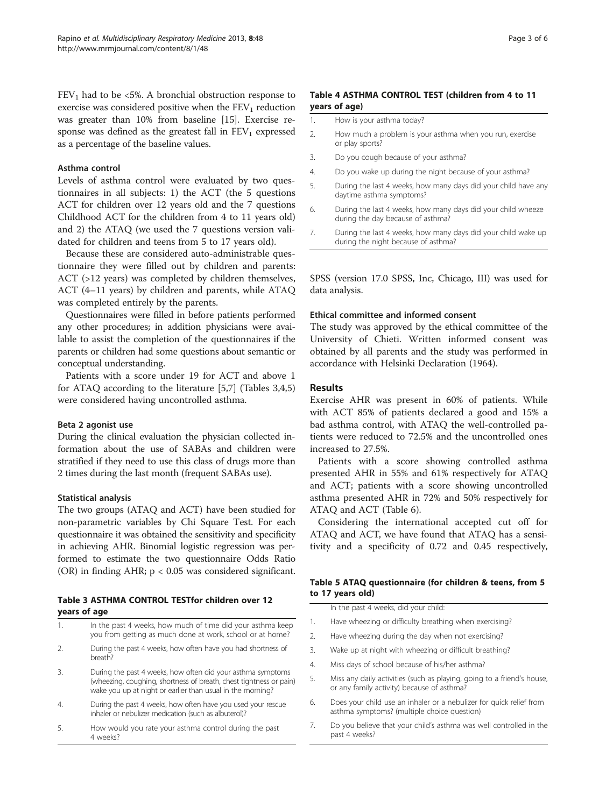<span id="page-2-0"></span> $FEV<sub>1</sub>$  had to be <5%. A bronchial obstruction response to exercise was considered positive when the  $FEV<sub>1</sub>$  reduction was greater than 10% from baseline [[15](#page-4-0)]. Exercise response was defined as the greatest fall in  $FEV<sub>1</sub>$  expressed as a percentage of the baseline values.

### Asthma control

Levels of asthma control were evaluated by two questionnaires in all subjects: 1) the ACT (the 5 questions ACT for children over 12 years old and the 7 questions Childhood ACT for the children from 4 to 11 years old) and 2) the ATAQ (we used the 7 questions version validated for children and teens from 5 to 17 years old).

Because these are considered auto-administrable questionnaire they were filled out by children and parents: ACT (>12 years) was completed by children themselves, ACT (4–11 years) by children and parents, while ATAQ was completed entirely by the parents.

Questionnaires were filled in before patients performed any other procedures; in addition physicians were available to assist the completion of the questionnaires if the parents or children had some questions about semantic or conceptual understanding.

Patients with a score under 19 for ACT and above 1 for ATAQ according to the literature [\[5,7](#page-4-0)] (Tables 3,4,5) were considered having uncontrolled asthma.

### Beta 2 agonist use

During the clinical evaluation the physician collected information about the use of SABAs and children were stratified if they need to use this class of drugs more than 2 times during the last month (frequent SABAs use).

### Statistical analysis

The two groups (ATAQ and ACT) have been studied for non-parametric variables by Chi Square Test. For each questionnaire it was obtained the sensitivity and specificity in achieving AHR. Binomial logistic regression was performed to estimate the two questionnaire Odds Ratio (OR) in finding AHR; p < 0.05 was considered significant.

### Table 3 ASTHMA CONTROL TESTfor children over 12 years of age

| -1.            | In the past 4 weeks, how much of time did your asthma keep<br>you from getting as much done at work, school or at home?                                                                         |
|----------------|-------------------------------------------------------------------------------------------------------------------------------------------------------------------------------------------------|
| 2.             | During the past 4 weeks, how often have you had shortness of<br>breath?                                                                                                                         |
| 3.             | During the past 4 weeks, how often did your asthma symptoms<br>(wheezing, coughing, shortness of breath, chest tightness or pain)<br>wake you up at night or earlier than usual in the morning? |
| $\overline{4}$ | During the past 4 weeks, how often have you used your rescue<br>inhaler or nebulizer medication (such as albuterol)?                                                                            |
| 5.             | How would you rate your asthma control during the past<br>4 weeks?                                                                                                                              |

# Table 4 ASTHMA CONTROL TEST (children from 4 to 11 years of age)

| How is your asthma today?<br>1. |
|---------------------------------|
|---------------------------------|

- 2. How much a problem is your asthma when you run, exercise or play sports?
- 3. Do you cough because of your asthma?
- 4. Do you wake up during the night because of your asthma?
- 5. During the last 4 weeks, how many days did your child have any daytime asthma symptoms?
- 6. During the last 4 weeks, how many days did your child wheeze during the day because of asthma?
- 7. During the last 4 weeks, how many days did your child wake up during the night because of asthma?

SPSS (version 17.0 SPSS, Inc, Chicago, III) was used for data analysis.

### Ethical committee and informed consent

The study was approved by the ethical committee of the University of Chieti. Written informed consent was obtained by all parents and the study was performed in accordance with Helsinki Declaration (1964).

### Results

Exercise AHR was present in 60% of patients. While with ACT 85% of patients declared a good and 15% a bad asthma control, with ATAQ the well-controlled patients were reduced to 72.5% and the uncontrolled ones increased to 27.5%.

Patients with a score showing controlled asthma presented AHR in 55% and 61% respectively for ATAQ and ACT; patients with a score showing uncontrolled asthma presented AHR in 72% and 50% respectively for ATAQ and ACT (Table [6\)](#page-3-0).

Considering the international accepted cut off for ATAQ and ACT, we have found that ATAQ has a sensitivity and a specificity of 0.72 and 0.45 respectively,

## Table 5 ATAQ questionnaire (for children & teens, from 5 to 17 years old)

In the past 4 weeks, did your child: 1. Have wheezing or difficulty breathing when exercising?

- 2. Have wheezing during the day when not exercising?
- 3. Wake up at night with wheezing or difficult breathing?
- 4. Miss days of school because of his/her asthma?
- 5. Miss any daily activities (such as playing, going to a friend's house, or any family activity) because of asthma?
- 6. Does your child use an inhaler or a nebulizer for quick relief from asthma symptoms? (multiple choice question)
- 7. Do you believe that your child's asthma was well controlled in the past 4 weeks?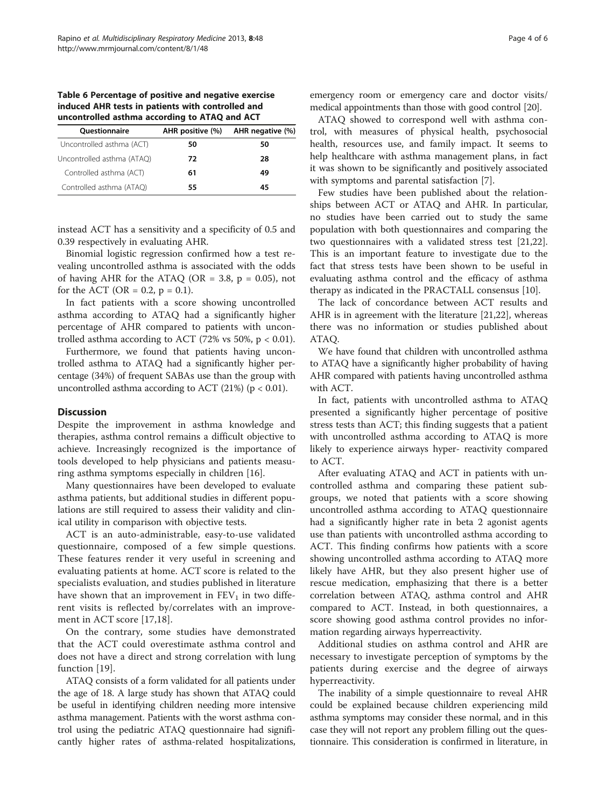<span id="page-3-0"></span>Table 6 Percentage of positive and negative exercise induced AHR tests in patients with controlled and uncontrolled asthma according to ATAQ and ACT

| Questionnaire              | AHR positive (%) | AHR negative (%) |
|----------------------------|------------------|------------------|
| Uncontrolled asthma (ACT)  | 50               | 50               |
| Uncontrolled asthma (ATAQ) | 72               | 28               |
| Controlled asthma (ACT)    | 61               | 49               |
| Controlled asthma (ATAQ)   | 55               | 45               |

instead ACT has a sensitivity and a specificity of 0.5 and 0.39 respectively in evaluating AHR.

Binomial logistic regression confirmed how a test revealing uncontrolled asthma is associated with the odds of having AHR for the ATAQ (OR = 3.8,  $p = 0.05$ ), not for the ACT (OR =  $0.2$ , p = 0.1).

In fact patients with a score showing uncontrolled asthma according to ATAQ had a significantly higher percentage of AHR compared to patients with uncontrolled asthma according to ACT (72% vs 50%,  $p < 0.01$ ).

Furthermore, we found that patients having uncontrolled asthma to ATAQ had a significantly higher percentage (34%) of frequent SABAs use than the group with uncontrolled asthma according to ACT (21%) ( $p < 0.01$ ).

### **Discussion**

Despite the improvement in asthma knowledge and therapies, asthma control remains a difficult objective to achieve. Increasingly recognized is the importance of tools developed to help physicians and patients measuring asthma symptoms especially in children [\[16](#page-4-0)].

Many questionnaires have been developed to evaluate asthma patients, but additional studies in different populations are still required to assess their validity and clinical utility in comparison with objective tests.

ACT is an auto-administrable, easy-to-use validated questionnaire, composed of a few simple questions. These features render it very useful in screening and evaluating patients at home. ACT score is related to the specialists evaluation, and studies published in literature have shown that an improvement in  $FEV<sub>1</sub>$  in two different visits is reflected by/correlates with an improvement in ACT score [[17](#page-4-0)[,18](#page-5-0)].

On the contrary, some studies have demonstrated that the ACT could overestimate asthma control and does not have a direct and strong correlation with lung function [[19\]](#page-5-0).

ATAQ consists of a form validated for all patients under the age of 18. A large study has shown that ATAQ could be useful in identifying children needing more intensive asthma management. Patients with the worst asthma control using the pediatric ATAQ questionnaire had significantly higher rates of asthma-related hospitalizations, emergency room or emergency care and doctor visits/ medical appointments than those with good control [[20\]](#page-5-0).

ATAQ showed to correspond well with asthma control, with measures of physical health, psychosocial health, resources use, and family impact. It seems to help healthcare with asthma management plans, in fact it was shown to be significantly and positively associated with symptoms and parental satisfaction [\[7](#page-4-0)].

Few studies have been published about the relationships between ACT or ATAQ and AHR. In particular, no studies have been carried out to study the same population with both questionnaires and comparing the two questionnaires with a validated stress test [\[21,22](#page-5-0)]. This is an important feature to investigate due to the fact that stress tests have been shown to be useful in evaluating asthma control and the efficacy of asthma therapy as indicated in the PRACTALL consensus [\[10](#page-4-0)].

The lack of concordance between ACT results and AHR is in agreement with the literature [\[21,22](#page-5-0)], whereas there was no information or studies published about ATAQ.

We have found that children with uncontrolled asthma to ATAQ have a significantly higher probability of having AHR compared with patients having uncontrolled asthma with ACT.

In fact, patients with uncontrolled asthma to ATAQ presented a significantly higher percentage of positive stress tests than ACT; this finding suggests that a patient with uncontrolled asthma according to ATAQ is more likely to experience airways hyper- reactivity compared to ACT.

After evaluating ATAQ and ACT in patients with uncontrolled asthma and comparing these patient subgroups, we noted that patients with a score showing uncontrolled asthma according to ATAQ questionnaire had a significantly higher rate in beta 2 agonist agents use than patients with uncontrolled asthma according to ACT. This finding confirms how patients with a score showing uncontrolled asthma according to ATAQ more likely have AHR, but they also present higher use of rescue medication, emphasizing that there is a better correlation between ATAQ, asthma control and AHR compared to ACT. Instead, in both questionnaires, a score showing good asthma control provides no information regarding airways hyperreactivity.

Additional studies on asthma control and AHR are necessary to investigate perception of symptoms by the patients during exercise and the degree of airways hyperreactivity.

The inability of a simple questionnaire to reveal AHR could be explained because children experiencing mild asthma symptoms may consider these normal, and in this case they will not report any problem filling out the questionnaire. This consideration is confirmed in literature, in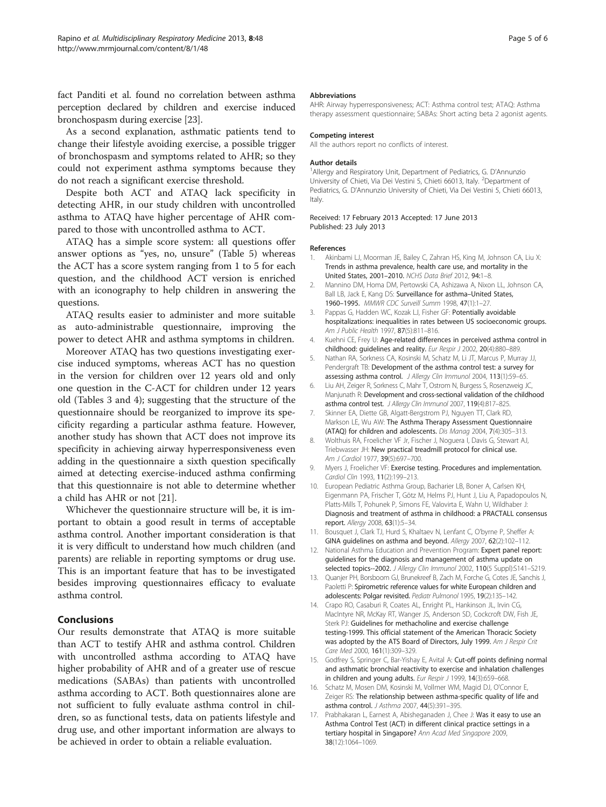<span id="page-4-0"></span>fact Panditi et al. found no correlation between asthma perception declared by children and exercise induced bronchospasm during exercise [\[23\]](#page-5-0).

As a second explanation, asthmatic patients tend to change their lifestyle avoiding exercise, a possible trigger of bronchospasm and symptoms related to AHR; so they could not experiment asthma symptoms because they do not reach a significant exercise threshold.

Despite both ACT and ATAQ lack specificity in detecting AHR, in our study children with uncontrolled asthma to ATAQ have higher percentage of AHR compared to those with uncontrolled asthma to ACT.

ATAQ has a simple score system: all questions offer answer options as "yes, no, unsure" (Table [5\)](#page-2-0) whereas the ACT has a score system ranging from 1 to 5 for each question, and the childhood ACT version is enriched with an iconography to help children in answering the questions.

ATAQ results easier to administer and more suitable as auto-administrable questionnaire, improving the power to detect AHR and asthma symptoms in children.

Moreover ATAQ has two questions investigating exercise induced symptoms, whereas ACT has no question in the version for children over 12 years old and only one question in the C-ACT for children under 12 years old (Tables [3](#page-2-0) and [4\)](#page-2-0); suggesting that the structure of the questionnaire should be reorganized to improve its specificity regarding a particular asthma feature. However, another study has shown that ACT does not improve its specificity in achieving airway hyperresponsiveness even adding in the questionnaire a sixth question specifically aimed at detecting exercise-induced asthma confirming that this questionnaire is not able to determine whether a child has AHR or not [[21](#page-5-0)].

Whichever the questionnaire structure will be, it is important to obtain a good result in terms of acceptable asthma control. Another important consideration is that it is very difficult to understand how much children (and parents) are reliable in reporting symptoms or drug use. This is an important feature that has to be investigated besides improving questionnaires efficacy to evaluate asthma control.

## Conclusions

Our results demonstrate that ATAQ is more suitable than ACT to testify AHR and asthma control. Children with uncontrolled asthma according to ATAQ have higher probability of AHR and of a greater use of rescue medications (SABAs) than patients with uncontrolled asthma according to ACT. Both questionnaires alone are not sufficient to fully evaluate asthma control in children, so as functional tests, data on patients lifestyle and drug use, and other important information are always to be achieved in order to obtain a reliable evaluation.

#### Abbreviations

AHR: Airway hyperresponsiveness; ACT: Asthma control test; ATAQ: Asthma therapy assessment questionnaire; SABAs: Short acting beta 2 agonist agents.

### Competing interest

All the authors report no conflicts of interest.

#### Author details

<sup>1</sup> Allergy and Respiratory Unit, Department of Pediatrics, G. D'Annunzic University of Chieti, Via Dei Vestini 5, Chieti 66013, Italy. <sup>2</sup>Department of Pediatrics, G. D'Annunzio University of Chieti, Via Dei Vestini 5, Chieti 66013, Italy.

Received: 17 February 2013 Accepted: 17 June 2013 Published: 23 July 2013

#### References

- Akinbami LJ, Moorman JE, Bailey C, Zahran HS, King M, Johnson CA, Liu X: Trends in asthma prevalence, health care use, and mortality in the United States, 2001–2010. NCHS Data Brief 2012, 94:1–8.
- 2. Mannino DM, Homa DM, Pertowski CA, Ashizawa A, Nixon LL, Johnson CA, Ball LB, Jack E, Kang DS: Surveillance for asthma-United States, 1960–1995. MMWR CDC Surveill Summ 1998, 47(1):1–27.
- 3. Pappas G, Hadden WC, Kozak LJ, Fisher GF: Potentially avoidable hospitalizations: inequalities in rates between US socioeconomic groups. Am J Public Health 1997, 87(5):811–816.
- 4. Kuehni CE, Frey U: Age-related differences in perceived asthma control in childhood: guidelines and reality. Eur Respir J 2002, 20(4):880-889.
- 5. Nathan RA, Sorkness CA, Kosinski M, Schatz M, Li JT, Marcus P, Murray JJ, Pendergraft TB: Development of the asthma control test: a survey for assessing asthma control. J Allergy Clin Immunol 2004, 113(1):59-65.
- 6. Liu AH, Zeiger R, Sorkness C, Mahr T, Ostrom N, Burgess S, Rosenzweig JC, Manjunath R: Development and cross-sectional validation of the childhood asthma control test. J Allergy Clin Immunol 2007, 119(4):817-825.
- 7. Skinner EA, Diette GB, Algatt-Bergstrom PJ, Nguyen TT, Clark RD, Markson LE, Wu AW: The Asthma Therapy Assessment Questionnaire (ATAQ) for children and adolescents. Dis Manag 2004, 7(4):305–313.
- 8. Wolthuis RA, Froelicher VF Jr, Fischer J, Noguera I, Davis G, Stewart AJ, Triebwasser JH: New practical treadmill protocol for clinical use. Am J Cardiol 1977, 39(5):697–700.
- 9. Myers J, Froelicher VF: Exercise testing. Procedures and implementation. Cardiol Clin 1993, 11(2):199–213.
- 10. European Pediatric Asthma Group, Bacharier LB, Boner A, Carlsen KH, Eigenmann PA, Frischer T, Götz M, Helms PJ, Hunt J, Liu A, Papadopoulos N, Platts-Mills T, Pohunek P, Simons FE, Valovirta E, Wahn U, Wildhaber J: Diagnosis and treatment of asthma in childhood: a PRACTALL consensus report. Allergy 2008, 63(1):5–34.
- 11. Bousquet J, Clark TJ, Hurd S, Khaltaev N, Lenfant C, O'byrne P, Sheffer A: GINA guidelines on asthma and beyond. Allergy 2007, 62(2):102–112.
- 12. National Asthma Education and Prevention Program: Expert panel report: guidelines for the diagnosis and management of asthma update on selected topics--2002. J Allergy Clin Immunol 2002, 110(5 Suppl):S141-S219.
- 13. Quanjer PH, Borsboom GJ, Brunekreef B, Zach M, Forche G, Cotes JE, Sanchis J, Paoletti P: Spirometric reference values for white European children and adolescents: Polgar revisited. Pediatr Pulmonol 1995, 19(2):135-142.
- 14. Crapo RO, Casaburi R, Coates AL, Enright PL, Hankinson JL, Irvin CG, MacIntyre NR, McKay RT, Wanger JS, Anderson SD, Cockcroft DW, Fish JE, Sterk PJ: Guidelines for methacholine and exercise challenge testing-1999. This official statement of the American Thoracic Society was adopted by the ATS Board of Directors, July 1999. Am J Respir Crit Care Med 2000, 161(1):309–329.
- 15. Godfrey S, Springer C, Bar-Yishay E, Avital A: Cut-off points defining normal and asthmatic bronchial reactivity to exercise and inhalation challenges in children and young adults. Eur Respir J 1999, 14(3):659-668.
- 16. Schatz M, Mosen DM, Kosinski M, Vollmer WM, Magid DJ, O'Connor E, Zeiger RS: The relationship between asthma-specific quality of life and asthma control. J Asthma 2007, 44(5):391–395.
- 17. Prabhakaran L, Earnest A, Abisheganaden J, Chee J: Was it easy to use an Asthma Control Test (ACT) in different clinical practice settings in a tertiary hospital in Singapore? Ann Acad Med Singapore 2009, 38(12):1064–1069.